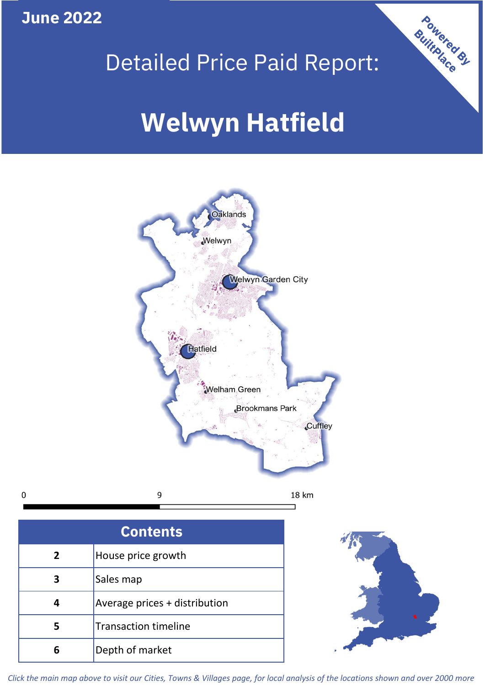**June 2022**

 $\mathbf 0$ 





| <b>Contents</b> |                               |  |  |
|-----------------|-------------------------------|--|--|
| $\overline{2}$  | House price growth            |  |  |
| 3               | Sales map                     |  |  |
|                 | Average prices + distribution |  |  |
|                 | <b>Transaction timeline</b>   |  |  |
|                 | Depth of market               |  |  |



*Click the main map above to visit our Cities, Towns & Villages page, for local analysis of the locations shown and over 2000 more*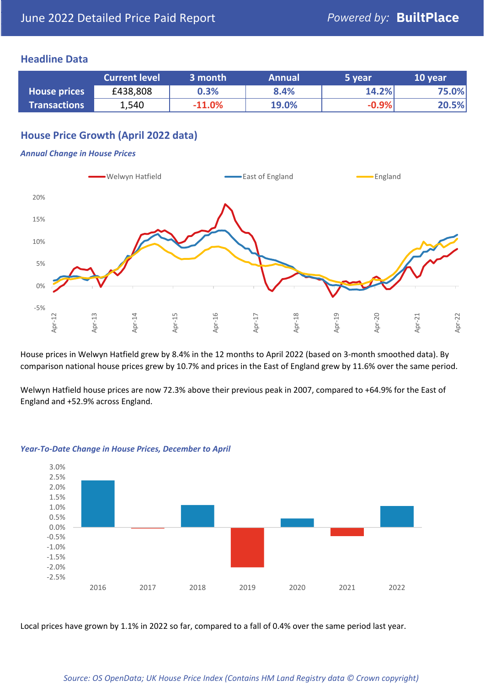### **Headline Data**

|                     | <b>Current level</b> | 3 month  | <b>Annual</b> | 5 year  | 10 year |
|---------------------|----------------------|----------|---------------|---------|---------|
| <b>House prices</b> | £438,808             | 0.3%     | 8.4%          | 14.2%   | 75.0%   |
| <b>Transactions</b> | 1,540                | $-11.0%$ | 19.0%         | $-0.9%$ | 20.5%   |

# **House Price Growth (April 2022 data)**

#### *Annual Change in House Prices*



House prices in Welwyn Hatfield grew by 8.4% in the 12 months to April 2022 (based on 3-month smoothed data). By comparison national house prices grew by 10.7% and prices in the East of England grew by 11.6% over the same period.

Welwyn Hatfield house prices are now 72.3% above their previous peak in 2007, compared to +64.9% for the East of England and +52.9% across England.



#### *Year-To-Date Change in House Prices, December to April*

Local prices have grown by 1.1% in 2022 so far, compared to a fall of 0.4% over the same period last year.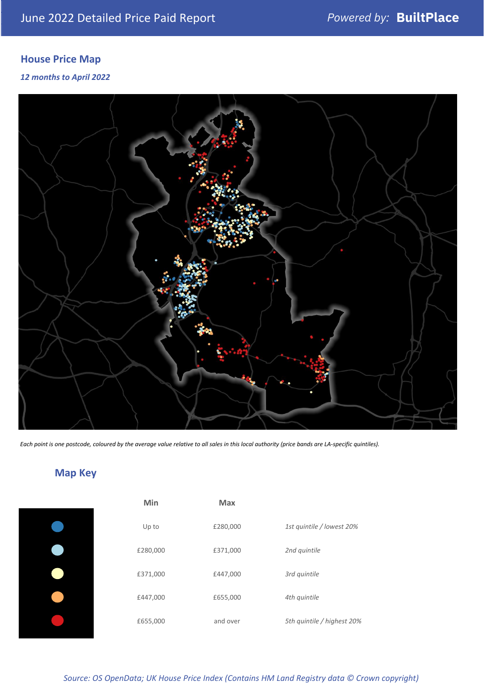# **House Price Map**

#### *12 months to April 2022*



*Each point is one postcode, coloured by the average value relative to all sales in this local authority (price bands are LA-specific quintiles).*

# **Map Key**

| Min      | <b>Max</b> |                            |
|----------|------------|----------------------------|
| Up to    | £280,000   | 1st quintile / lowest 20%  |
| £280,000 | £371,000   | 2nd quintile               |
| £371,000 | £447,000   | 3rd quintile               |
| £447,000 | £655,000   | 4th quintile               |
| £655,000 | and over   | 5th quintile / highest 20% |

### *Source: OS OpenData; UK House Price Index (Contains HM Land Registry data © Crown copyright)*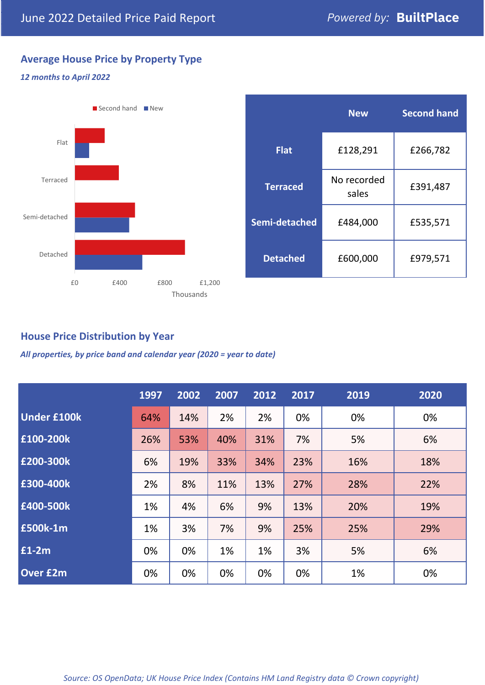# **Average House Price by Property Type**

#### *12 months to April 2022*



|                 | <b>New</b>           | <b>Second hand</b> |  |  |
|-----------------|----------------------|--------------------|--|--|
| <b>Flat</b>     | £128,291             | £266,782           |  |  |
| <b>Terraced</b> | No recorded<br>sales | £391,487           |  |  |
| Semi-detached   | £484,000             | £535,571           |  |  |
| <b>Detached</b> | £600,000             | £979,571           |  |  |

## **House Price Distribution by Year**

*All properties, by price band and calendar year (2020 = year to date)*

|                    | 1997 | 2002 | 2007 | 2012 | 2017 | 2019 | 2020 |
|--------------------|------|------|------|------|------|------|------|
| <b>Under £100k</b> | 64%  | 14%  | 2%   | 2%   | 0%   | 0%   | 0%   |
| £100-200k          | 26%  | 53%  | 40%  | 31%  | 7%   | 5%   | 6%   |
| E200-300k          | 6%   | 19%  | 33%  | 34%  | 23%  | 16%  | 18%  |
| £300-400k          | 2%   | 8%   | 11%  | 13%  | 27%  | 28%  | 22%  |
| £400-500k          | 1%   | 4%   | 6%   | 9%   | 13%  | 20%  | 19%  |
| <b>£500k-1m</b>    | 1%   | 3%   | 7%   | 9%   | 25%  | 25%  | 29%  |
| £1-2m              | 0%   | 0%   | 1%   | 1%   | 3%   | 5%   | 6%   |
| <b>Over £2m</b>    | 0%   | 0%   | 0%   | 0%   | 0%   | 1%   | 0%   |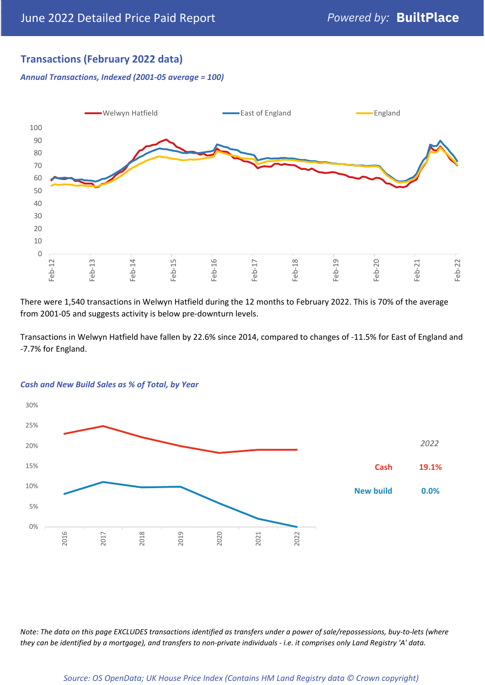# **Transactions (February 2022 data)**

*Annual Transactions, Indexed (2001-05 average = 100)*



There were 1,540 transactions in Welwyn Hatfield during the 12 months to February 2022. This is 70% of the average from 2001-05 and suggests activity is below pre-downturn levels.

Transactions in Welwyn Hatfield have fallen by 22.6% since 2014, compared to changes of -11.5% for East of England and -7.7% for England.



#### *Cash and New Build Sales as % of Total, by Year*

*Note: The data on this page EXCLUDES transactions identified as transfers under a power of sale/repossessions, buy-to-lets (where they can be identified by a mortgage), and transfers to non-private individuals - i.e. it comprises only Land Registry 'A' data.*